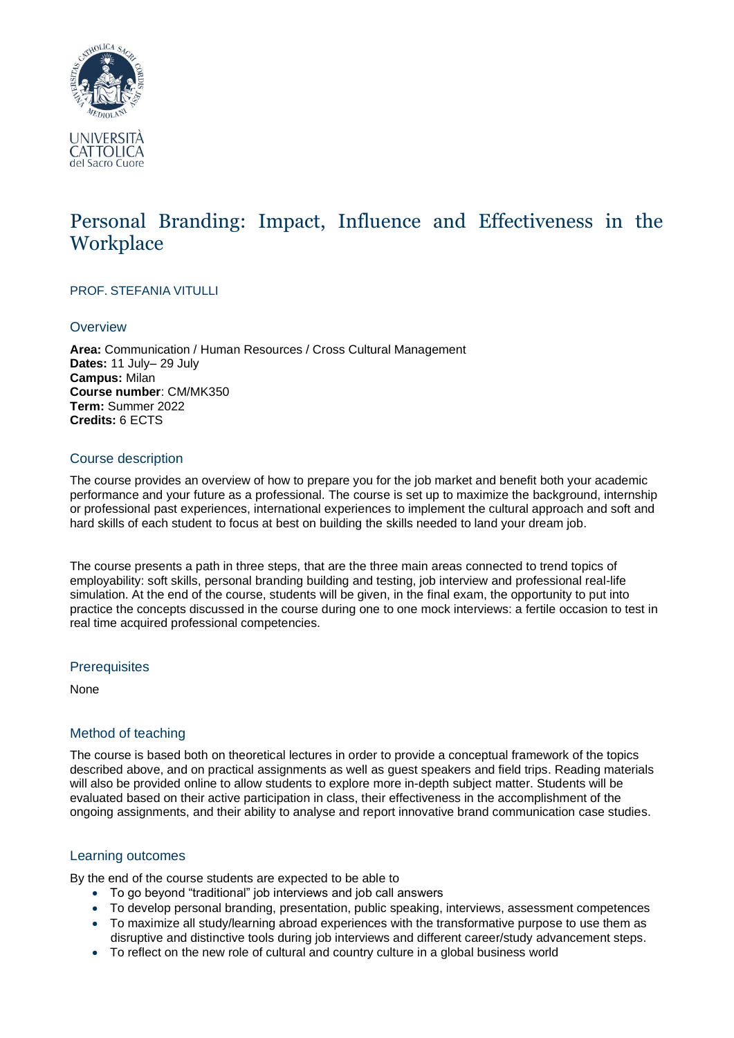

# Personal Branding: Impact, Influence and Effectiveness in the **Workplace**

# PROF. STEFANIA VITULLI

## **Overview**

**Area:** Communication / Human Resources / Cross Cultural Management **Dates:** 11 July– 29 July **Campus:** Milan **Course number**: CM/MK350 **Term:** Summer 2022 **Credits:** 6 ECTS

## Course description

The course provides an overview of how to prepare you for the job market and benefit both your academic performance and your future as a professional. The course is set up to maximize the background, internship or professional past experiences, international experiences to implement the cultural approach and soft and hard skills of each student to focus at best on building the skills needed to land your dream job.

The course presents a path in three steps, that are the three main areas connected to trend topics of employability: soft skills, personal branding building and testing, job interview and professional real-life simulation. At the end of the course, students will be given, in the final exam, the opportunity to put into practice the concepts discussed in the course during one to one mock interviews: a fertile occasion to test in real time acquired professional competencies.

#### **Prerequisites**

None

# Method of teaching

The course is based both on theoretical lectures in order to provide a conceptual framework of the topics described above, and on practical assignments as well as guest speakers and field trips. Reading materials will also be provided online to allow students to explore more in-depth subject matter. Students will be evaluated based on their active participation in class, their effectiveness in the accomplishment of the ongoing assignments, and their ability to analyse and report innovative brand communication case studies.

## Learning outcomes

By the end of the course students are expected to be able to

- To go beyond "traditional" job interviews and job call answers
- To develop personal branding, presentation, public speaking, interviews, assessment competences
- To maximize all study/learning abroad experiences with the transformative purpose to use them as disruptive and distinctive tools during job interviews and different career/study advancement steps.
- To reflect on the new role of cultural and country culture in a global business world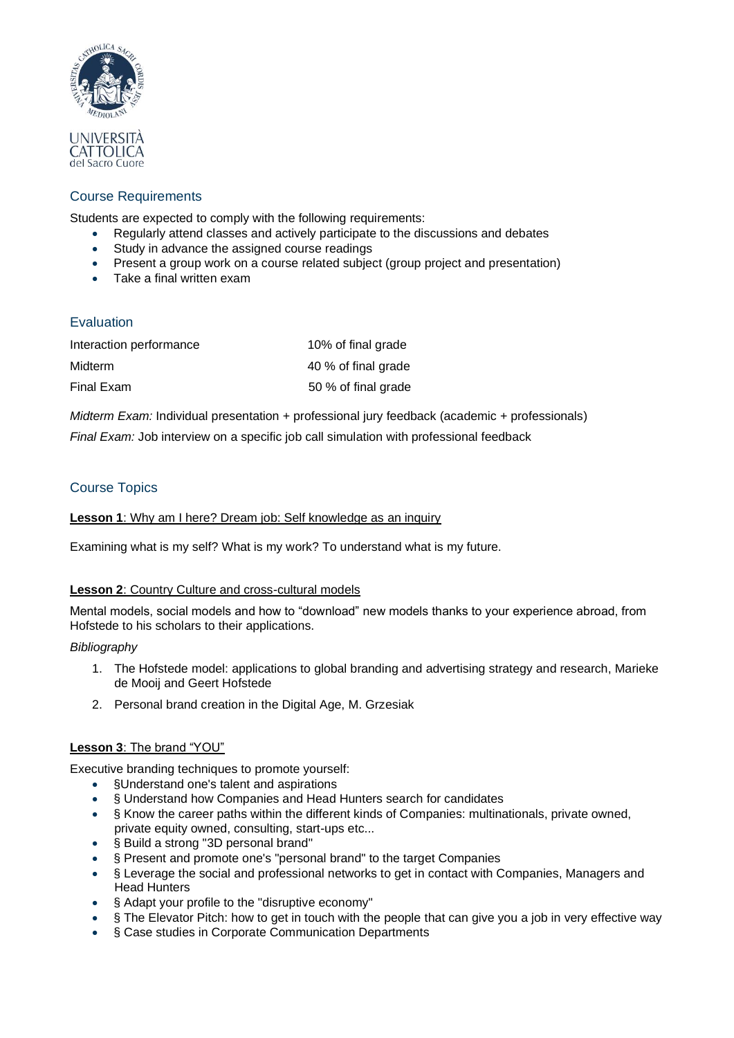

# Course Requirements

Students are expected to comply with the following requirements:

- Regularly attend classes and actively participate to the discussions and debates
- Study in advance the assigned course readings
- Present a group work on a course related subject (group project and presentation)
- Take a final written exam

# Evaluation

| Interaction performance | 10% of final grade  |
|-------------------------|---------------------|
| Midterm                 | 40 % of final grade |
| Final Exam              | 50 % of final grade |

*Midterm Exam:* Individual presentation + professional jury feedback (academic + professionals)

*Final Exam:* Job interview on a specific job call simulation with professional feedback

# Course Topics

## **Lesson 1**: Why am I here? Dream job: Self knowledge as an inquiry

Examining what is my self? What is my work? To understand what is my future.

## **Lesson 2**: Country Culture and cross-cultural models

Mental models, social models and how to "download" new models thanks to your experience abroad, from Hofstede to his scholars to their applications.

## *Bibliography*

- 1. The Hofstede model: applications to global branding and advertising strategy and research, Marieke de Mooij and Geert Hofstede
- 2. Personal brand creation in the Digital Age, M. Grzesiak

## **Lesson 3**: The brand "YOU"

Executive branding techniques to promote yourself:

- §Understand one's talent and aspirations
- § Understand how Companies and Head Hunters search for candidates
- § Know the career paths within the different kinds of Companies: multinationals, private owned, private equity owned, consulting, start-ups etc...
- § Build a strong "3D personal brand"
- § Present and promote one's "personal brand" to the target Companies
- § Leverage the social and professional networks to get in contact with Companies, Managers and Head Hunters
- § Adapt your profile to the "disruptive economy"
- § The Elevator Pitch: how to get in touch with the people that can give you a job in very effective way
- § Case studies in Corporate Communication Departments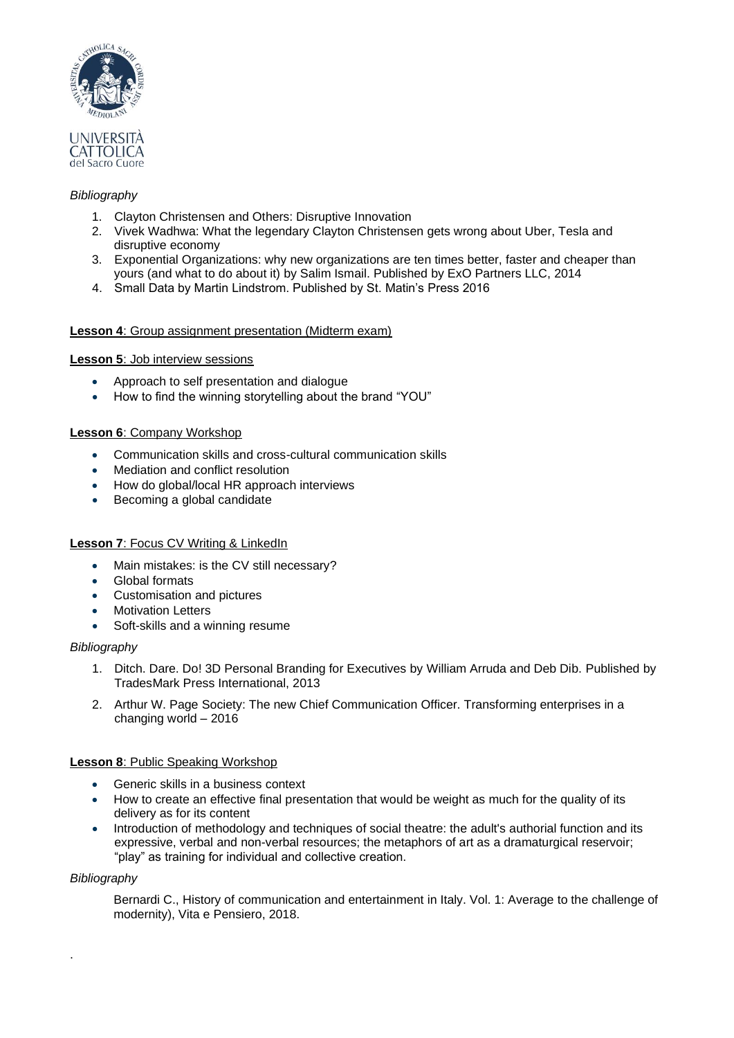

#### *Bibliography*

- 1. Clayton Christensen and Others: Disruptive Innovation
- 2. Vivek Wadhwa: What the legendary Clayton Christensen gets wrong about Uber, Tesla and disruptive economy
- 3. Exponential Organizations: why new organizations are ten times better, faster and cheaper than yours (and what to do about it) by Salim Ismail. Published by ExO Partners LLC, 2014
- 4. Small Data by Martin Lindstrom. Published by St. Matin's Press 2016

#### **Lesson 4**: Group assignment presentation (Midterm exam)

#### **Lesson 5**: Job interview sessions

- Approach to self presentation and dialogue
- How to find the winning storytelling about the brand "YOU"

#### **Lesson 6**: Company Workshop

- Communication skills and cross-cultural communication skills
- Mediation and conflict resolution
- How do global/local HR approach interviews
- Becoming a global candidate

#### **Lesson 7**: Focus CV Writing & LinkedIn

- Main mistakes: is the CV still necessary?
- Global formats
- Customisation and pictures
- Motivation Letters
- Soft-skills and a winning resume

#### *Bibliography*

- 1. Ditch. Dare. Do! 3D Personal Branding for Executives by William Arruda and Deb Dib. Published by TradesMark Press International, 2013
- 2. Arthur W. Page Society: The new Chief Communication Officer. Transforming enterprises in a changing world – 2016

#### **Lesson 8**: Public Speaking Workshop

- Generic skills in a business context
- How to create an effective final presentation that would be weight as much for the quality of its delivery as for its content
- Introduction of methodology and techniques of social theatre: the adult's authorial function and its expressive, verbal and non-verbal resources; the metaphors of art as a dramaturgical reservoir; "play" as training for individual and collective creation.

#### *Bibliography*

·

Bernardi C., History of communication and entertainment in Italy. Vol. 1: Average to the challenge of modernity), Vita e Pensiero, 2018.